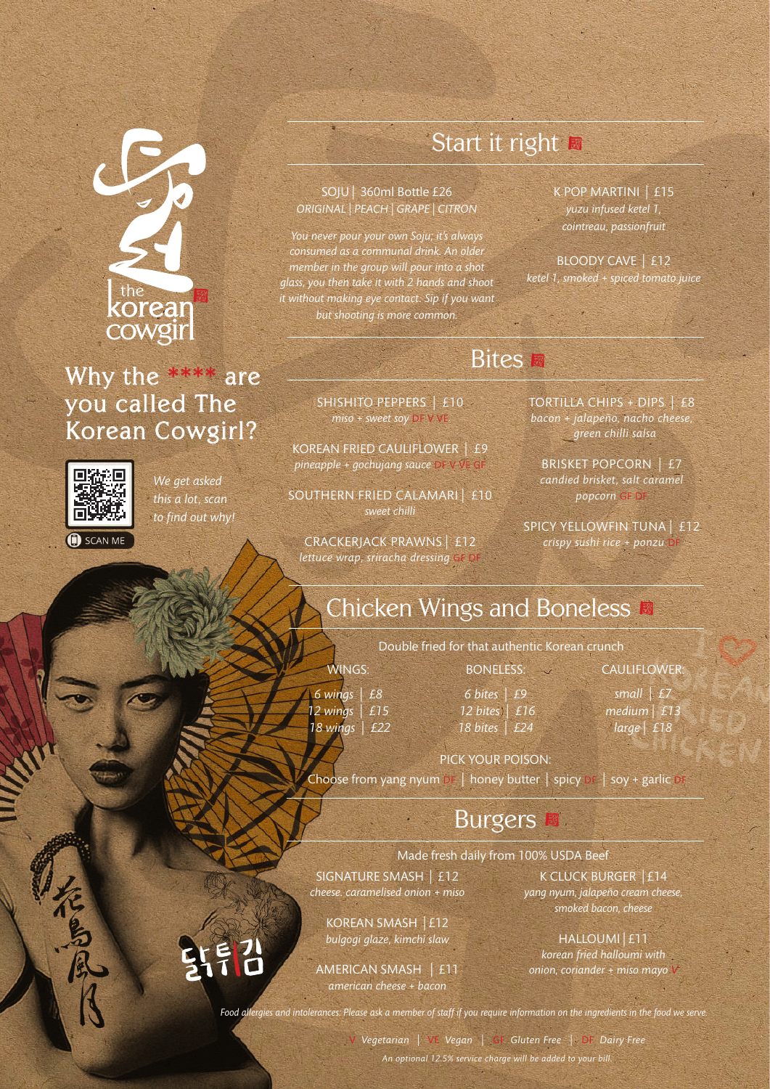# the<br>**KOrean** cowgir

#### Why the \*\*\*\* are you called The Korean Cowgirl?



 $\bigoplus$  SCAN ME

*We get asked this a lot, scan to find out why!* Start it right

#### SOJU | 360ml Bottle £26 *ORIGINAL | PEACH | GRAPE | CITRON*

*You never pour your own Soju; it's always consumed as a communal drink. An older member in the group will pour into a shot glass, you then take it with 2 hands and shoot it without making eye contact. Sip if you want but shooting is more common.*

K POP MARTINI | £15 *yuzu infused ketel 1, cointreau, passionfruit*

BLOODY CAVE | £12 *ketel 1, smoked + spiced tomato juice*

#### **Bites**

SHISHITO PEPPERS | £10 *miso + sweet soy* DF V VE

KOREAN FRIED CAULIFLOWER | £9 *pineapple + gochujang sauce* DF V VE GF

SOUTHERN FRIED CALAMARI | £10 *sweet chilli*

CRACKERJACK PRAWNS | £12 *lettuce wrap, sriracha dressing* GF DF

TORTILLA CHIPS + DIPS | £8 *bacon + jalapeño, nacho cheese, green chilli salsa* 

BRISKET POPCORN | £7 *candied brisket, salt caramel popcorn* GF DF

SPICY YELLOWFIN TUNA | £12 *crispy sushi rice + ponzu* DF

# Chicken Wings and Boneless

Double fried for that authentic Korean crunch

*6 wings | £8 12 wings | £15 18 wings | £22*

WINGS:

*6 bites | £9 12 bites | £16 18 bites | £24*

BONELESS:

CAULIFLOWER: *small | £7 medium | £13 large | £18*

#### PICK YOUR POISON:

Choose from yang nyum DF  $\parallel$  honey butter  $\parallel$  spicy DF  $\parallel$  soy + garlic DF

#### Burgers

Made fresh daily from 100% USDA Beef

SIGNATURE SMASH | £12 *cheese. caramelised onion + miso* 

> KOREAN SMASH | £12 *bulgogi glaze, kimchi slaw*

AMERICAN SMASH | £11 *american cheese + bacon* 

K CLUCK BURGER | £14 *yang nyum, jalapeño cream cheese, smoked bacon, cheese*

HALLOUMI | £11 *korean fried halloumi with onion, coriander + miso mayo* 

튀심

*Food allergies and intolerances: Please ask a member of staff if you require information on the ingredients in the food we serve.*

V *Vegetarian* | VE *Vegan |* GF *Gluten Free |* DF *Dairy Free An optional 12.5% service charge will be added to your bill.*